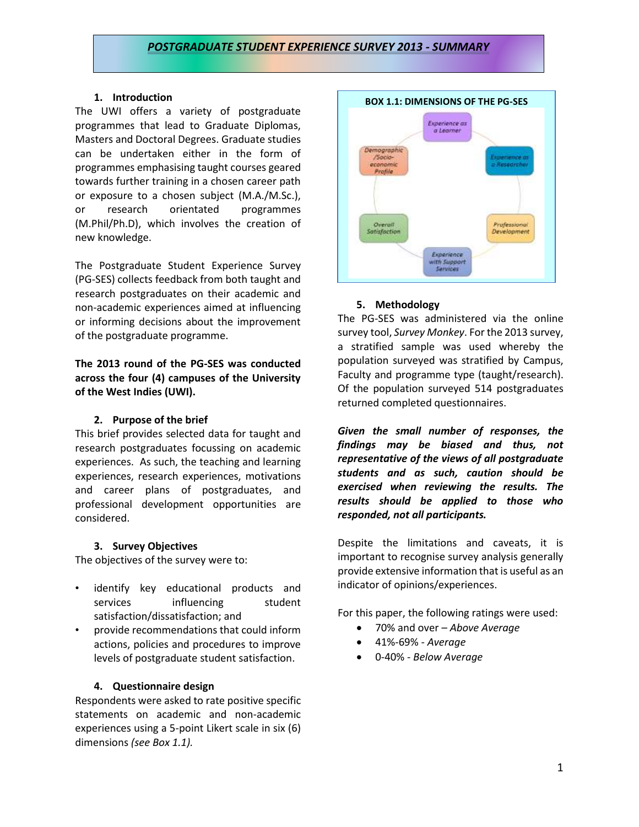## *POSTGRADUATE STUDENT EXPERIENCE SURVEY 2013 - SUMMARY*

## **1. Introduction**

The UWI offers a variety of postgraduate programmes that lead to Graduate Diplomas, Masters and Doctoral Degrees. Graduate studies can be undertaken either in the form of programmes emphasising taught courses geared towards further training in a chosen career path or exposure to a chosen subject (M.A./M.Sc.), or research orientated programmes (M.Phil/Ph.D), which involves the creation of new knowledge.

The Postgraduate Student Experience Survey (PG-SES) collects feedback from both taught and research postgraduates on their academic and non-academic experiences aimed at influencing or informing decisions about the improvement of the postgraduate programme.

## **The 2013 round of the PG-SES was conducted across the four (4) campuses of the University of the West Indies (UWI).**

## **2. Purpose of the brief**

This brief provides selected data for taught and research postgraduates focussing on academic experiences. As such, the teaching and learning experiences, research experiences, motivations and career plans of postgraduates, and professional development opportunities are considered.

## **3. Survey Objectives**

The objectives of the survey were to:

- identify key educational products and services influencing student satisfaction/dissatisfaction; and
- provide recommendations that could inform actions, policies and procedures to improve levels of postgraduate student satisfaction.

## **4. Questionnaire design**

Respondents were asked to rate positive specific statements on academic and non-academic experiences using a 5-point Likert scale in six (6) dimensions *(see Box 1.1).*



## **5. Methodology**

The PG-SES was administered via the online survey tool, *Survey Monkey*. For the 2013 survey, a stratified sample was used whereby the population surveyed was stratified by Campus, Faculty and programme type (taught/research). Of the population surveyed 514 postgraduates returned completed questionnaires.

*Given the small number of responses, the findings may be biased and thus, not representative of the views of all postgraduate students and as such, caution should be exercised when reviewing the results. The results should be applied to those who responded, not all participants.* 

Despite the limitations and caveats, it is important to recognise survey analysis generally provide extensive information that is useful as an indicator of opinions/experiences.

For this paper, the following ratings were used:

- 70% and over *Above Average*
- 41%-69% *Average*
- 0-40% *Below Average*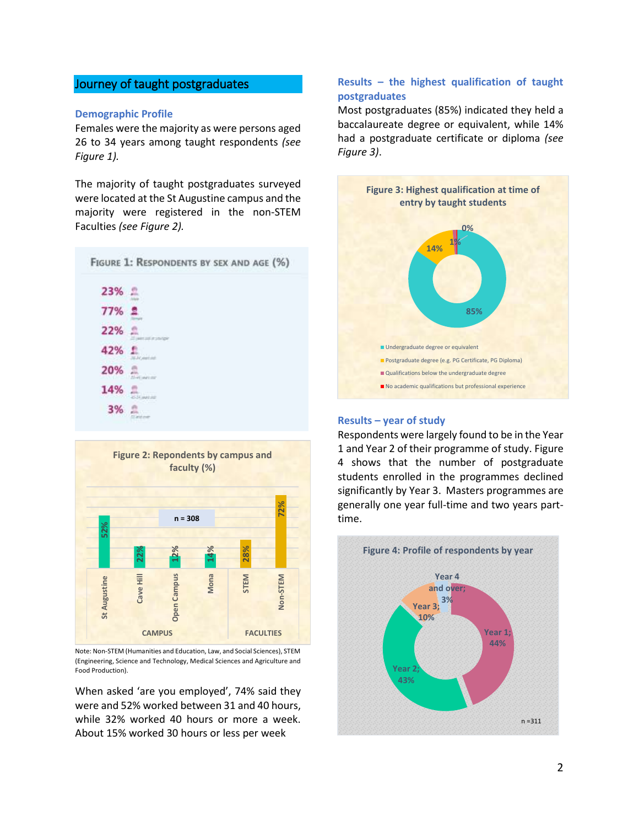# Journey of taught postgraduates

## **Demographic Profile**

Females were the majority as were persons aged 26 to 34 years among taught respondents *(see Figure 1).*

The majority of taught postgraduates surveyed were located at the St Augustine campus and the majority were registered in the non-STEM Faculties *(see Figure 2).*





Note: Non-STEM (Humanities and Education, Law, and Social Sciences), STEM (Engineering, Science and Technology, Medical Sciences and Agriculture and Food Production).

When asked 'are you employed', 74% said they were and 52% worked between 31 and 40 hours, while 32% worked 40 hours or more a week. About 15% worked 30 hours or less per week

## **Results – the highest qualification of taught postgraduates**

Most postgraduates (85%) indicated they held a baccalaureate degree or equivalent, while 14% had a postgraduate certificate or diploma *(see Figure 3)*.



#### **Results – year of study**

Respondents were largely found to be in the Year 1 and Year 2 of their programme of study. Figure 4 shows that the number of postgraduate students enrolled in the programmes declined significantly by Year 3. Masters programmes are generally one year full-time and two years parttime.

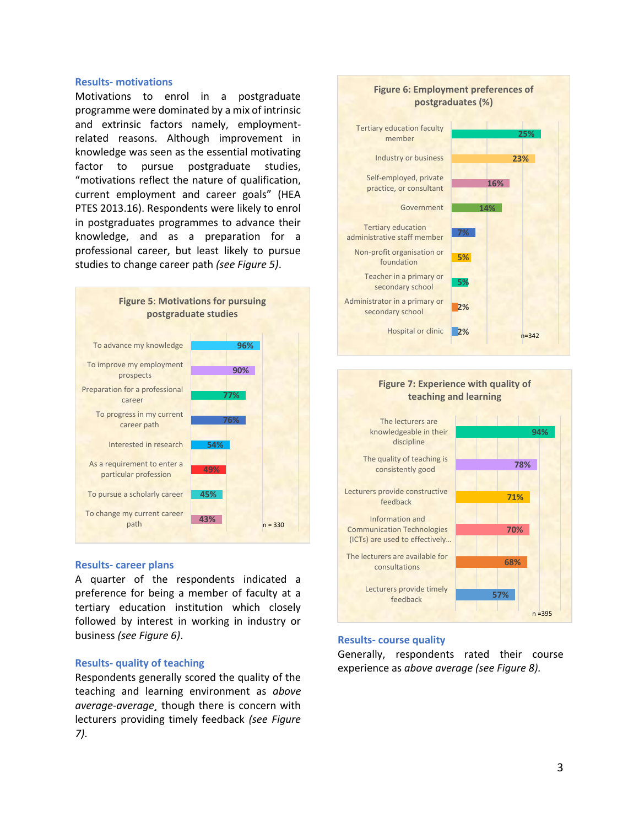#### **Results- motivations**

Motivations to enrol in a postgraduate programme were dominated by a mix of intrinsic and extrinsic factors namely, employmentrelated reasons. Although improvement in knowledge was seen as the essential motivating factor to pursue postgraduate studies, "motivations reflect the nature of qualification, current employment and career goals" (HEA PTES 2013.16). Respondents were likely to enrol in postgraduates programmes to advance their knowledge, and as a preparation for a professional career, but least likely to pursue studies to change career path *(see Figure 5)*.



#### **Results- career plans**

A quarter of the respondents indicated a preference for being a member of faculty at a tertiary education institution which closely followed by interest in working in industry or business *(see Figure 6)*.

### **Results- quality of teaching**

Respondents generally scored the quality of the teaching and learning environment as *above average-average¸* though there is concern with lecturers providing timely feedback *(see Figure 7)*.





#### **Results- course quality**

Generally, respondents rated their course experience as *above average (see Figure 8).*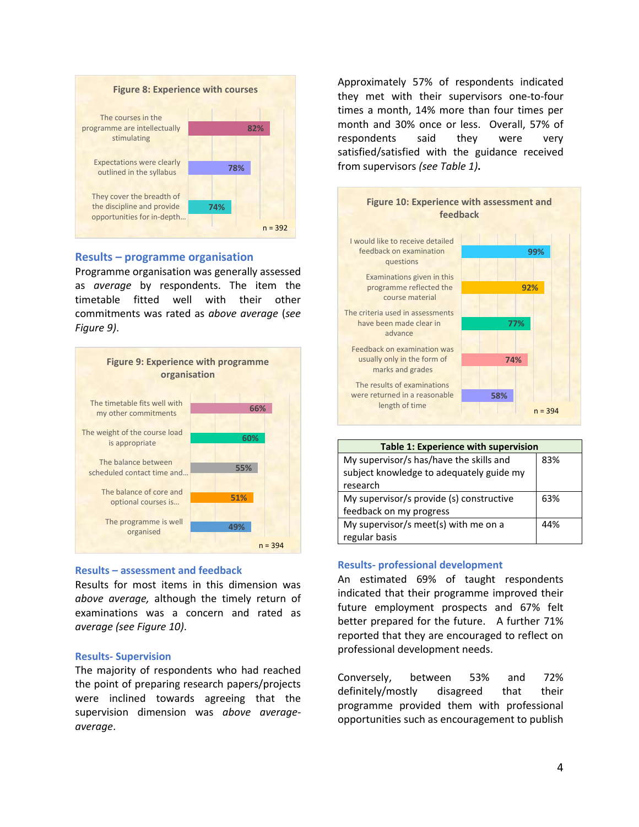

## **Results – programme organisation**

Programme organisation was generally assessed as *average* by respondents. The item the timetable fitted well with their other commitments was rated as *above average* (*see Figure 9)*.



## **Results – assessment and feedback**

Results for most items in this dimension was *above average,* although the timely return of examinations was a concern and rated as *average (see Figure 10)*.

## **Results- Supervision**

The majority of respondents who had reached the point of preparing research papers/projects were inclined towards agreeing that the supervision dimension was *above averageaverage*.

Approximately 57% of respondents indicated they met with their supervisors one-to-four times a month, 14% more than four times per month and 30% once or less.Overall, 57% of respondents said they were very satisfied/satisfied with the guidance received from supervisors *(see Table 1)***.** 



| Table 1: Experience with supervision     |     |  |
|------------------------------------------|-----|--|
| My supervisor/s has/have the skills and  | 83% |  |
| subject knowledge to adequately guide my |     |  |
| research                                 |     |  |
| My supervisor/s provide (s) constructive | 63% |  |
| feedback on my progress                  |     |  |
| My supervisor/s meet(s) with me on a     | 44% |  |
| regular basis                            |     |  |

## **Results- professional development**

An estimated 69% of taught respondents indicated that their programme improved their future employment prospects and 67% felt better prepared for the future. A further 71% reported that they are encouraged to reflect on professional development needs.

Conversely, between 53% and 72% definitely/mostly disagreed that their programme provided them with professional opportunities such as encouragement to publish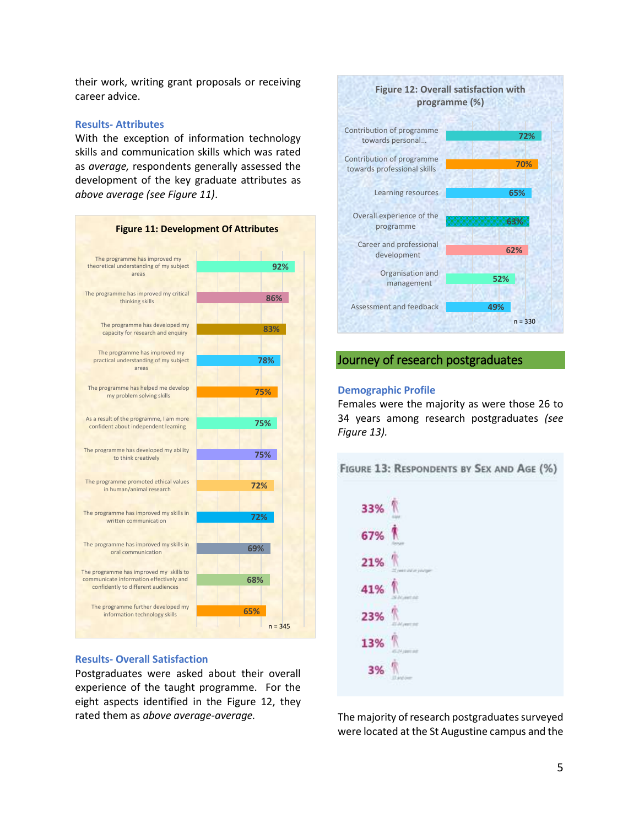their work, writing grant proposals or receiving career advice.

#### **Results- Attributes**

With the exception of information technology skills and communication skills which was rated as *average,* respondents generally assessed the development of the key graduate attributes as *above average (see Figure 11)*.



#### **Results- Overall Satisfaction**

Postgraduates were asked about their overall experience of the taught programme. For the eight aspects identified in the Figure 12, they rated them as *above average-average.* 



## Journey of research postgraduates

## **Demographic Profile**

Females were the majority as were those 26 to 34 years among research postgraduates *(see Figure 13).*



The majority of research postgraduates surveyed were located at the St Augustine campus and the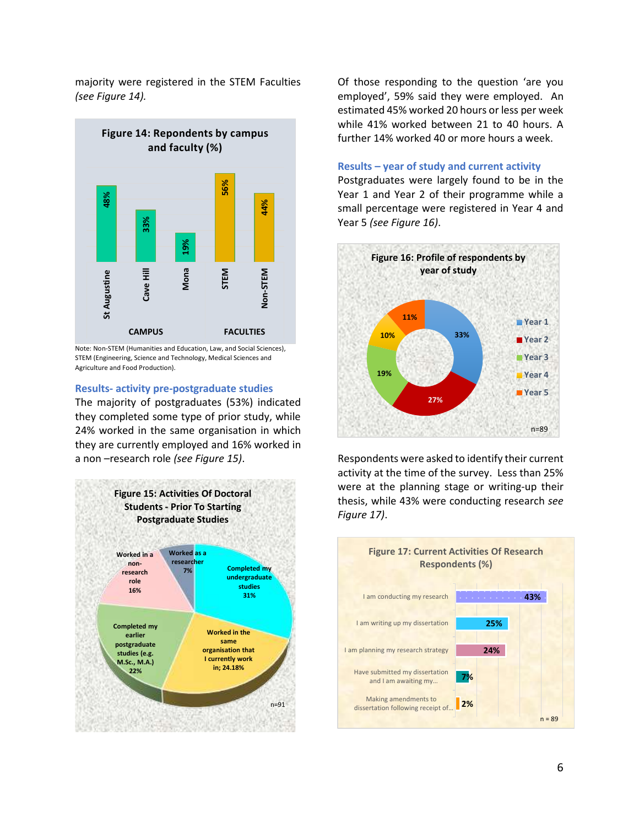majority were registered in the STEM Faculties *(see Figure 14).*



Note: Non-STEM (Humanities and Education, Law, and Social Sciences), STEM (Engineering, Science and Technology, Medical Sciences and Agriculture and Food Production).

#### **Results- activity pre-postgraduate studies**

The majority of postgraduates (53%) indicated they completed some type of prior study, while 24% worked in the same organisation in which they are currently employed and 16% worked in a non –research role *(see Figure 15)*.



Of those responding to the question 'are you employed', 59% said they were employed. An estimated 45% worked 20 hours or less per week while 41% worked between 21 to 40 hours. A further 14% worked 40 or more hours a week.

### **Results – year of study and current activity**

Postgraduates were largely found to be in the Year 1 and Year 2 of their programme while a small percentage were registered in Year 4 and Year 5 *(see Figure 16)*.



Respondents were asked to identify their current activity at the time of the survey. Less than 25% were at the planning stage or writing-up their thesis, while 43% were conducting research *see Figure 17)*.

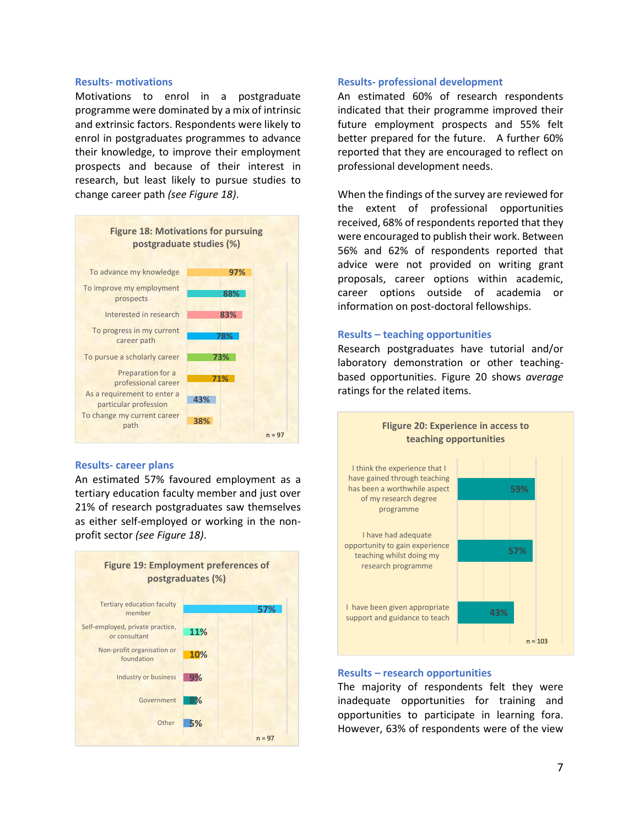#### **Results- motivations**

Motivations to enrol in a postgraduate programme were dominated by a mix of intrinsic and extrinsic factors. Respondents were likely to enrol in postgraduates programmes to advance their knowledge, to improve their employment prospects and because of their interest in research, but least likely to pursue studies to change career path *(see Figure 18)*.



## **Results- career plans**

An estimated 57% favoured employment as a tertiary education faculty member and just over 21% of research postgraduates saw themselves as either self-employed or working in the nonprofit sector *(see Figure 18)*.



#### **Results- professional development**

An estimated 60% of research respondents indicated that their programme improved their future employment prospects and 55% felt better prepared for the future. A further 60% reported that they are encouraged to reflect on professional development needs.

When the findings of the survey are reviewed for the extent of professional opportunities received, 68% of respondents reported that they were encouraged to publish their work. Between 56% and 62% of respondents reported that advice were not provided on writing grant proposals, career options within academic, career options outside of academia or information on post-doctoral fellowships.

### **Results – teaching opportunities**

Research postgraduates have tutorial and/or laboratory demonstration or other teachingbased opportunities. Figure 20 shows *average*  ratings for the related items.



### **Results – research opportunities**

The majority of respondents felt they were inadequate opportunities for training and opportunities to participate in learning fora. However, 63% of respondents were of the view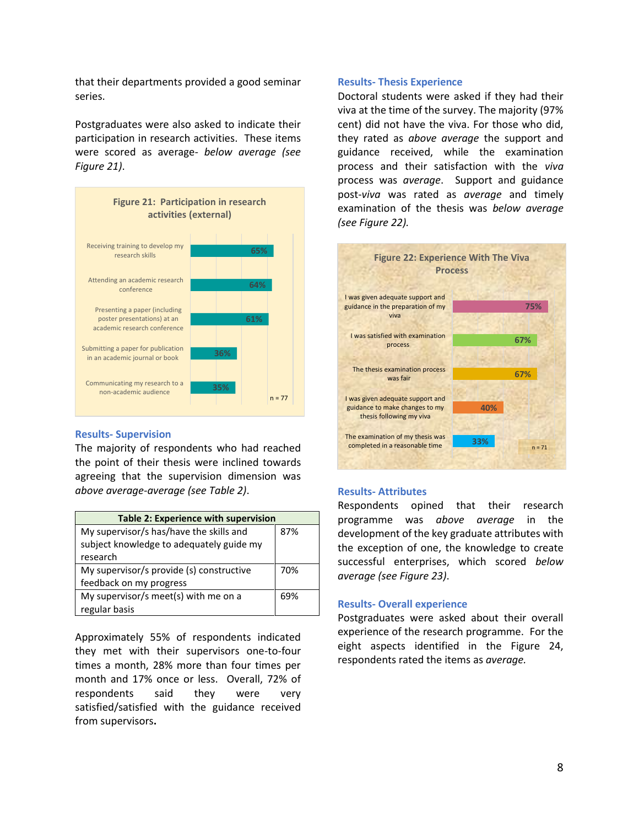that their departments provided a good seminar series.

Postgraduates were also asked to indicate their participation in research activities. These items were scored as average*- below average (see Figure 21)*.



#### **Results- Supervision**

The majority of respondents who had reached the point of their thesis were inclined towards agreeing that the supervision dimension was *above average-average (see Table 2)*.

| <b>Table 2: Experience with supervision</b> |     |  |
|---------------------------------------------|-----|--|
| My supervisor/s has/have the skills and     | 87% |  |
| subject knowledge to adequately guide my    |     |  |
| research                                    |     |  |
| My supervisor/s provide (s) constructive    | 70% |  |
| feedback on my progress                     |     |  |
| My supervisor/s meet(s) with me on a        | 69% |  |
| regular basis                               |     |  |

Approximately 55% of respondents indicated they met with their supervisors one-to-four times a month, 28% more than four times per month and 17% once or less.Overall, 72% of respondents said they were very satisfied/satisfied with the guidance received from supervisors**.** 

#### **Results- Thesis Experience**

Doctoral students were asked if they had their viva at the time of the survey. The majority (97% cent) did not have the viva. For those who did, they rated as *above average* the support and guidance received, while the examination process and their satisfaction with the *viva* process was *average*. Support and guidance post-*viva* was rated as *average* and timely examination of the thesis was *below average (see Figure 22).*



#### **Results- Attributes**

Respondents opined that their research programme was *above average* in the development of the key graduate attributes with the exception of one, the knowledge to create successful enterprises, which scored *below average (see Figure 23)*.

#### **Results- Overall experience**

Postgraduates were asked about their overall experience of the research programme. For the eight aspects identified in the Figure 24, respondents rated the items as *average.*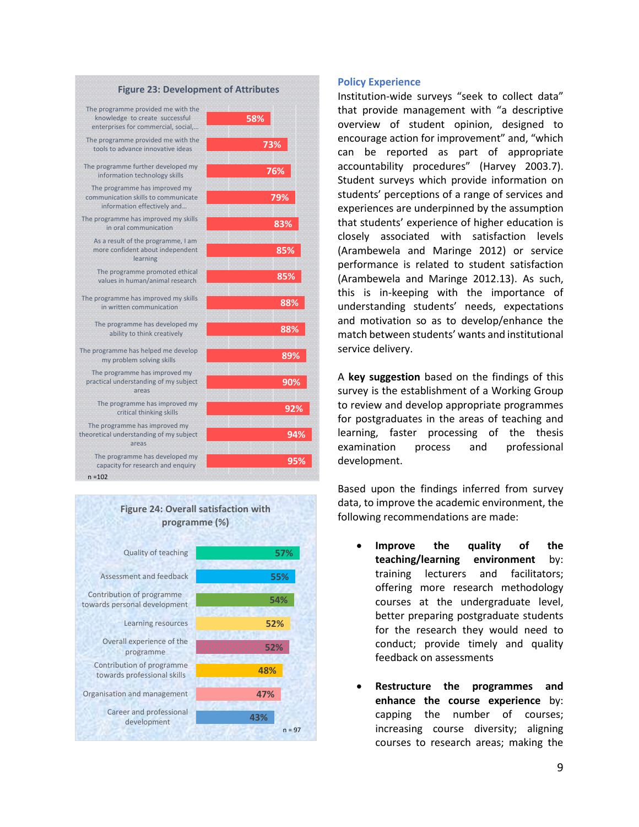| <b>Figure 23: Development of Attributes</b>                                                                 |                 |  |
|-------------------------------------------------------------------------------------------------------------|-----------------|--|
| The programme provided me with the<br>knowledge to create successful<br>enterprises for commercial, social, | 58%             |  |
| The programme provided me with the<br>tools to advance innovative ideas                                     | 73%             |  |
| The programme further developed my<br>information technology skills                                         | 76%             |  |
| The programme has improved my<br>communication skills to communicate<br>information effectively and         | 79%             |  |
| The programme has improved my skills<br>in oral communication                                               | 83%             |  |
| As a result of the programme, I am<br>more confident about independent<br>learning                          | 85%             |  |
| The programme promoted ethical<br>values in human/animal research                                           | 85%             |  |
| The programme has improved my skills<br>in written communication                                            | 889             |  |
| The programme has developed my<br>ability to think creatively                                               | 889             |  |
| The programme has helped me develop<br>my problem solving skills                                            | 899             |  |
| The programme has improved my<br>practical understanding of my subject<br>areas                             | 90 <sub>2</sub> |  |
| The programme has improved my<br>critical thinking skills                                                   | 92              |  |
| The programme has improved my<br>theoretical understanding of my subject<br>areas                           | 94              |  |
| The programme has developed my<br>capacity for research and enquiry<br>$n = 102$                            | 9!              |  |



**95%**

**94%**

**92%**

**90%**

**89%**

**88%**

**88%**

**85%**

## **Policy Experience**

Institution-wide surveys "seek to collect data" that provide management with "a descriptive overview of student opinion, designed to encourage action for improvement" and, "which can be reported as part of appropriate accountability procedures" (Harvey 2003.7). Student surveys which provide information on students' perceptions of a range of services and experiences are underpinned by the assumption that students' experience of higher education is closely associated with satisfaction levels (Arambewela and Maringe 2012) or service performance is related to student satisfaction (Arambewela and Maringe 2012.13). As such, this is in-keeping with the importance of understanding students' needs, expectations and motivation so as to develop/enhance the match between students' wants and institutional service delivery.

A **key suggestion** based on the findings of this survey is the establishment of a Working Group to review and develop appropriate programmes for postgraduates in the areas of teaching and learning, faster processing of the thesis examination process and professional development.

Based upon the findings inferred from survey data, to improve the academic environment, the following recommendations are made:

- **Improve the quality of the teaching/learning environment** by: training lecturers and facilitators; offering more research methodology courses at the undergraduate level, better preparing postgraduate students for the research they would need to conduct; provide timely and quality feedback on assessments
- **Restructure the programmes and enhance the course experience** by: capping the number of courses; increasing course diversity; aligning courses to research areas; making the